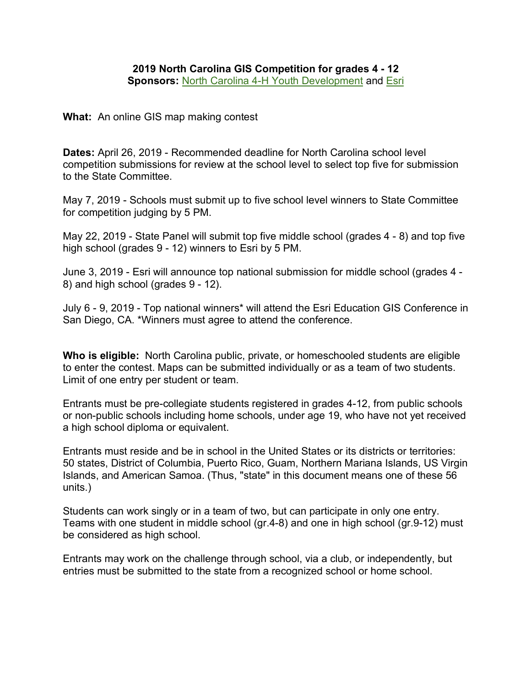**What:** An online GIS map making contest

**Dates:** April 26, 2019 - Recommended deadline for North Carolina school level competition submissions for review at the school level to select top five for submission to the State Committee.

May 7, 2019 - Schools must submit up to five school level winners to State Committee for competition judging by 5 PM.

May 22, 2019 - State Panel will submit top five middle school (grades 4 - 8) and top five high school (grades 9 - 12) winners to Esri by 5 PM.

June 3, 2019 - Esri will announce top national submission for middle school (grades 4 - 8) and high school (grades 9 - 12).

July 6 - 9, 2019 - Top national winners\* will attend the Esri Education GIS Conference in San Diego, CA. \*Winners must agree to attend the conference.

**Who is eligible:** North Carolina public, private, or homeschooled students are eligible to enter the contest. Maps can be submitted individually or as a team of two students. Limit of one entry per student or team.

Entrants must be pre-collegiate students registered in grades 4-12, from public schools or non-public schools including home schools, under age 19, who have not yet received a high school diploma or equivalent.

Entrants must reside and be in school in the United States or its districts or territories: 50 states, District of Columbia, Puerto Rico, Guam, Northern Mariana Islands, US Virgin Islands, and American Samoa. (Thus, "state" in this document means one of these 56 units.)

Students can work singly or in a team of two, but can participate in only one entry. Teams with one student in middle school (gr.4-8) and one in high school (gr.9-12) must be considered as high school.

Entrants may work on the challenge through school, via a club, or independently, but entries must be submitted to the state from a recognized school or home school.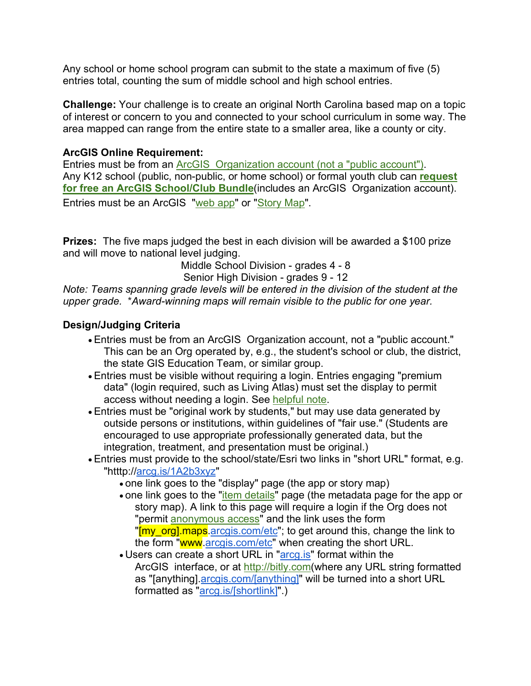Any school or home school program can submit to the state a maximum of five (5) entries total, counting the sum of middle school and high school entries.

**Challenge:** Your challenge is to create an original North Carolina based map on a topic of interest or concern to you and connected to your school curriculum in some way. The area mapped can range from the entire state to a smaller area, like a county or city.

## **ArcGIS Online Requirement:**

Entries must be from an ArcGIS Organization account (not a "public account"). Any K12 school (public, non-public, or home school) or formal youth club can **request for free an ArcGIS School/Club Bundle**(includes an ArcGIS Organization account). Entries must be an ArcGIS "web app" or "Story Map".

**Prizes:** The five maps judged the best in each division will be awarded a \$100 prize and will move to national level judging.

Middle School Division - grades 4 - 8

Senior High Division - grades 9 - 12

*Note: Teams spanning grade levels will be entered in the division of the student at the upper grade.* \**Award-winning maps will remain visible to the public for one year.*

## **Design/Judging Criteria**

- Entries must be from an ArcGIS Organization account, not a "public account." This can be an Org operated by, e.g., the student's school or club, the district, the state GIS Education Team, or similar group.
- Entries must be visible without requiring a login. Entries engaging "premium data" (login required, such as Living Atlas) must set the display to permit access without needing a login. See helpful note.
- Entries must be "original work by students," but may use data generated by outside persons or institutions, within guidelines of "fair use." (Students are encouraged to use appropriate professionally generated data, but the integration, treatment, and presentation must be original.)
- Entries must provide to the school/state/Esri two links in "short URL" format, e.g. "htttp://arcg.is/1A2b3xyz"
	- one link goes to the "display" page (the app or story map)
	- one link goes to the "*item details*" page (the metadata page for the app or story map). A link to this page will require a login if the Org does not "permit anonymous access" and the link uses the form "[my\_org].maps.arcgis.com/etc"; to get around this, change the link to the form "www.arcgis.com/etc" when creating the short URL.
	- Users can create a short URL in "arcg.is" format within the ArcGIS interface, or at http://bitly.com(where any URL string formatted as "[anything].arcgis.com/[anything]" will be turned into a short URL formatted as "arcg.is/[shortlink]".)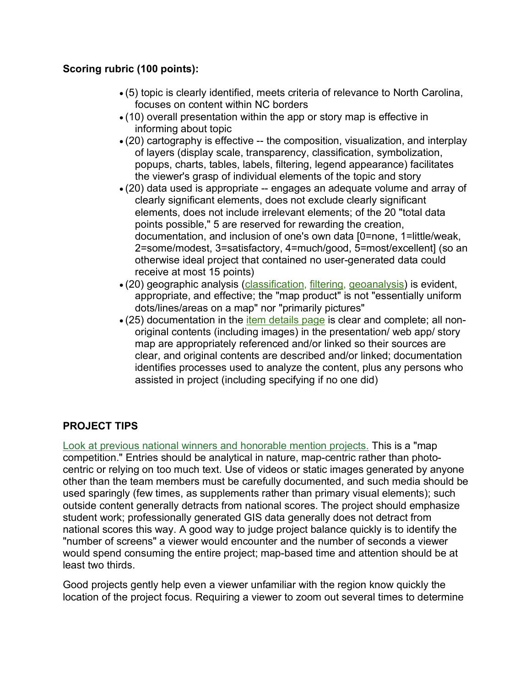## **Scoring rubric (100 points):**

- (5) topic is clearly identified, meets criteria of relevance to North Carolina, focuses on content within NC borders
- (10) overall presentation within the app or story map is effective in informing about topic
- (20) cartography is effective -- the composition, visualization, and interplay of layers (display scale, transparency, classification, symbolization, popups, charts, tables, labels, filtering, legend appearance) facilitates the viewer's grasp of individual elements of the topic and story
- (20) data used is appropriate -- engages an adequate volume and array of clearly significant elements, does not exclude clearly significant elements, does not include irrelevant elements; of the 20 "total data points possible," 5 are reserved for rewarding the creation, documentation, and inclusion of one's own data [0=none, 1=little/weak, 2=some/modest, 3=satisfactory, 4=much/good, 5=most/excellent] (so an otherwise ideal project that contained no user-generated data could receive at most 15 points)
- (20) geographic analysis (classification, filtering, geoanalysis) is evident, appropriate, and effective; the "map product" is not "essentially uniform dots/lines/areas on a map" nor "primarily pictures"
- (25) documentation in the item details page is clear and complete; all nonoriginal contents (including images) in the presentation/ web app/ story map are appropriately referenced and/or linked so their sources are clear, and original contents are described and/or linked; documentation identifies processes used to analyze the content, plus any persons who assisted in project (including specifying if no one did)

## **PROJECT TIPS**

Look at previous national winners and honorable mention projects. This is a "map competition." Entries should be analytical in nature, map-centric rather than photocentric or relying on too much text. Use of videos or static images generated by anyone other than the team members must be carefully documented, and such media should be used sparingly (few times, as supplements rather than primary visual elements); such outside content generally detracts from national scores. The project should emphasize student work; professionally generated GIS data generally does not detract from national scores this way. A good way to judge project balance quickly is to identify the "number of screens" a viewer would encounter and the number of seconds a viewer would spend consuming the entire project; map-based time and attention should be at least two thirds.

Good projects gently help even a viewer unfamiliar with the region know quickly the location of the project focus. Requiring a viewer to zoom out several times to determine